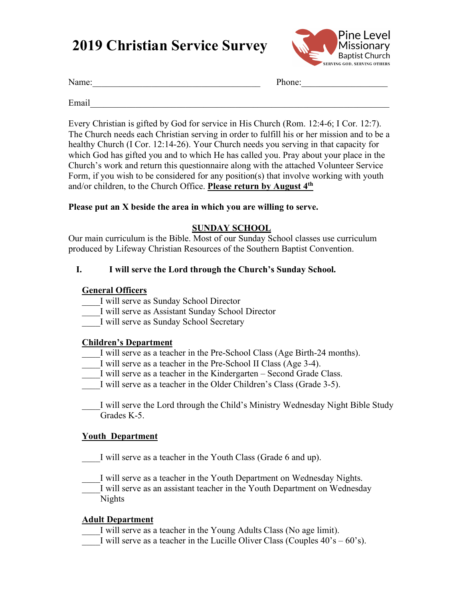# **2019 Christian Service Survey**



Name: The contract of the contract of the contract of the phone:  $\Box$  Phone:

Email

Every Christian is gifted by God for service in His Church (Rom. 12:4-6; I Cor. 12:7). The Church needs each Christian serving in order to fulfill his or her mission and to be a healthy Church (I Cor. 12:14-26). Your Church needs you serving in that capacity for which God has gifted you and to which He has called you. Pray about your place in the Church's work and return this questionnaire along with the attached Volunteer Service Form, if you wish to be considered for any position(s) that involve working with youth and/or children, to the Church Office. **Please return by August 4th**

#### **Please put an X beside the area in which you are willing to serve.**

#### **SUNDAY SCHOOL**

Our main curriculum is the Bible. Most of our Sunday School classes use curriculum produced by Lifeway Christian Resources of the Southern Baptist Convention.

#### **I. I will serve the Lord through the Church's Sunday School.**

#### **General Officers**

- \_\_\_\_I will serve as Sunday School Director
- \_\_\_\_I will serve as Assistant Sunday School Director
- \_\_\_\_I will serve as Sunday School Secretary

#### **Children's Department**

- I will serve as a teacher in the Pre-School Class (Age Birth-24 months).
- \_\_\_\_I will serve as a teacher in the Pre-School II Class (Age 3-4).
- I will serve as a teacher in the Kindergarten Second Grade Class.
- I will serve as a teacher in the Older Children's Class (Grade 3-5).
- I will serve the Lord through the Child's Ministry Wednesday Night Bible Study Grades K-5.

#### **Youth Department**

I will serve as a teacher in the Youth Class (Grade 6 and up).

I will serve as a teacher in the Youth Department on Wednesday Nights.

I will serve as an assistant teacher in the Youth Department on Wednesday Nights

#### **Adult Department**

- \_\_\_\_I will serve as a teacher in the Young Adults Class (No age limit).
- I will serve as a teacher in the Lucille Oliver Class (Couples  $40^\circ$ s  $60^\circ$ s).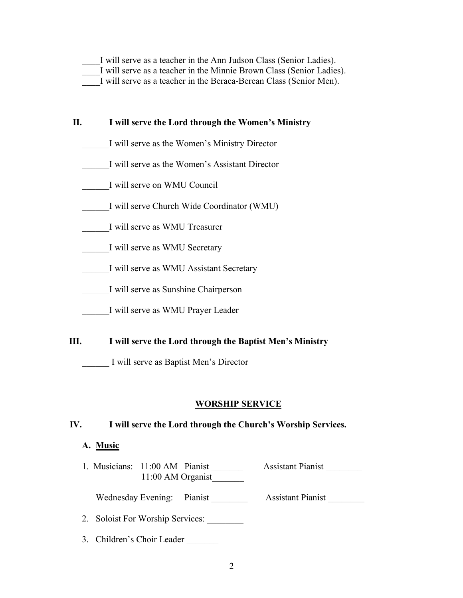| I will serve as a teacher in the Ann Judson Class (Senior Ladies). |  |  |  |  |  |  |  |  |  |                                                                                                         |  |  |  |  |  |
|--------------------------------------------------------------------|--|--|--|--|--|--|--|--|--|---------------------------------------------------------------------------------------------------------|--|--|--|--|--|
|                                                                    |  |  |  |  |  |  |  |  |  | I will serve as a teacher in the Minnie Brown Class (Senior Ladies).                                    |  |  |  |  |  |
|                                                                    |  |  |  |  |  |  |  |  |  | $\mathbf{r}$ . The contract of the contract $\mathbf{r}$ . The contract of the contract of $\mathbf{r}$ |  |  |  |  |  |

I will serve as a teacher in the Beraca-Berean Class (Senior Men).

## **II. I will serve the Lord through the Women's Ministry**

- \_\_\_\_\_\_I will serve as the Women's Ministry Director
- \_\_\_\_\_\_I will serve as the Women's Assistant Director
- \_\_\_\_\_\_I will serve on WMU Council
- \_\_\_\_\_\_I will serve Church Wide Coordinator (WMU)
- \_\_\_\_\_\_I will serve as WMU Treasurer
- I will serve as WMU Secretary
- \_\_\_\_\_\_I will serve as WMU Assistant Secretary
- \_\_\_\_\_\_I will serve as Sunshine Chairperson
- \_\_\_\_\_\_I will serve as WMU Prayer Leader
- **III. I will serve the Lord through the Baptist Men's Ministry**

\_\_\_\_\_\_ I will serve as Baptist Men's Director

#### **WORSHIP SERVICE**

#### **IV. I will serve the Lord through the Church's Worship Services.**

#### **A. Music**

1. Musicians: 11:00 AM Pianist \_\_\_\_\_\_\_\_\_ Assistant Pianist \_\_\_\_\_\_\_\_ 11:00 AM Organist\_\_\_\_\_\_\_

Wednesday Evening: Pianist \_\_\_\_\_\_\_\_ Assistant Pianist \_\_\_\_\_\_\_

- 2. Soloist For Worship Services:
- 3. Children's Choir Leader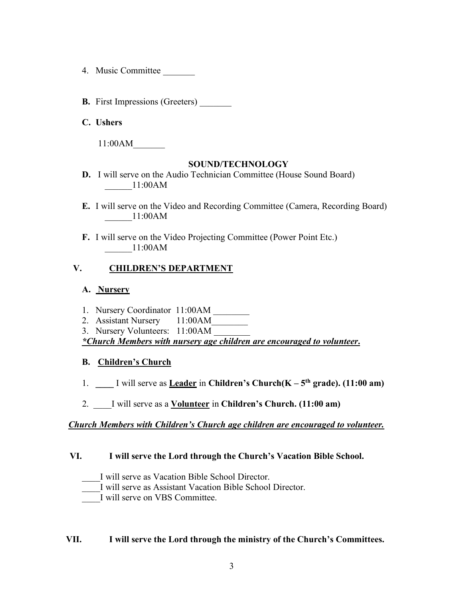- 4. Music Committee \_\_\_\_\_\_\_
- **B.** First Impressions (Greeters)
- **C. Ushers**

11:00AM\_\_\_\_\_\_\_

#### **SOUND/TECHNOLOGY**

- **D.** I will serve on the Audio Technician Committee (House Sound Board) \_\_\_\_\_\_11:00AM
- **E.** I will serve on the Video and Recording Committee (Camera, Recording Board) \_\_\_\_\_\_11:00AM
- **F.** I will serve on the Video Projecting Committee (Power Point Etc.) \_\_\_\_\_\_11:00AM

# **V. CHILDREN'S DEPARTMENT**

### **A. Nursery**

- 1. Nursery Coordinator 11:00AM \_\_\_\_\_\_\_\_
- 2. Assistant Nursery 11:00 AM
- 3. Nursery Volunteers: 11:00AM

*\*Church Members with nursery age children are encouraged to volunteer***.**

# **B. Children's Church**

- 1. **\_\_\_\_** I will serve as **Leader** in **Children's Church(K – 5th grade). (11:00 am)**
- 2. \_\_\_\_I will serve as a **Volunteer** in **Children's Church. (11:00 am)**

# *Church Members with Children's Church age children are encouraged to volunteer.*

#### **VI. I will serve the Lord through the Church's Vacation Bible School.**

- \_\_\_\_I will serve as Vacation Bible School Director.
- \_\_\_\_I will serve as Assistant Vacation Bible School Director.

\_\_\_\_I will serve on VBS Committee.

#### **VII. I will serve the Lord through the ministry of the Church's Committees.**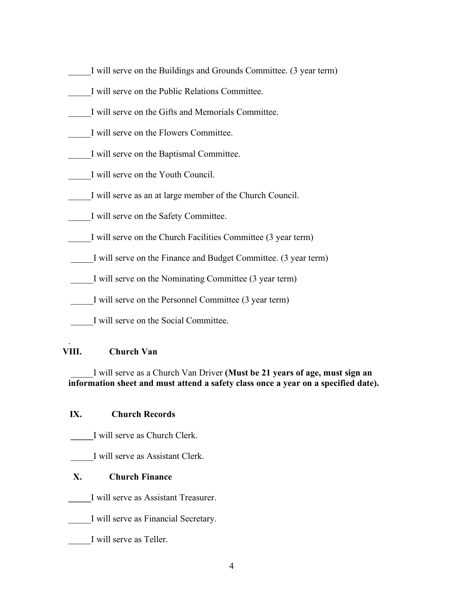- \_\_\_\_\_I will serve on the Buildings and Grounds Committee. (3 year term)
- \_\_\_\_\_I will serve on the Public Relations Committee.
- \_\_\_\_\_I will serve on the Gifts and Memorials Committee.
- \_\_\_\_\_I will serve on the Flowers Committee.
- \_\_\_\_\_I will serve on the Baptismal Committee.
- \_\_\_\_\_I will serve on the Youth Council.
- \_\_\_\_\_I will serve as an at large member of the Church Council.
- \_\_\_\_\_I will serve on the Safety Committee.
- I will serve on the Church Facilities Committee (3 year term)
- \_\_\_\_\_I will serve on the Finance and Budget Committee. (3 year term)
- \_\_\_\_\_I will serve on the Nominating Committee (3 year term)
- \_\_\_\_\_I will serve on the Personnel Committee (3 year term)
	- \_\_\_\_\_I will serve on the Social Committee.

#### . **VIII. Church Van**

\_\_\_\_\_I will serve as a Church Van Driver **(Must be 21 years of age, must sign an information sheet and must attend a safety class once a year on a specified date).**

# **IX. Church Records**

- **\_\_\_\_\_**I will serve as Church Clerk.
- \_\_\_\_\_I will serve as Assistant Clerk.

# **X. Church Finance**

- **\_\_\_\_\_**I will serve as Assistant Treasurer.
- \_\_\_\_\_I will serve as Financial Secretary.
- I will serve as Teller.